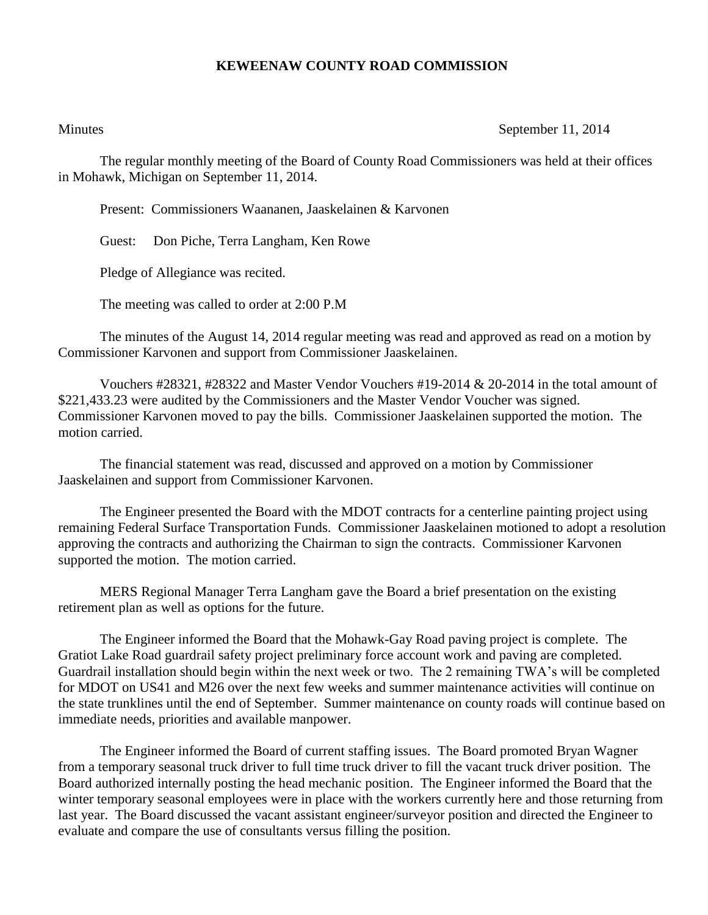## **KEWEENAW COUNTY ROAD COMMISSION**

Minutes September 11, 2014

The regular monthly meeting of the Board of County Road Commissioners was held at their offices in Mohawk, Michigan on September 11, 2014.

Present: Commissioners Waananen, Jaaskelainen & Karvonen

Guest: Don Piche, Terra Langham, Ken Rowe

Pledge of Allegiance was recited.

The meeting was called to order at 2:00 P.M

The minutes of the August 14, 2014 regular meeting was read and approved as read on a motion by Commissioner Karvonen and support from Commissioner Jaaskelainen.

Vouchers #28321, #28322 and Master Vendor Vouchers #19-2014 & 20-2014 in the total amount of \$221,433.23 were audited by the Commissioners and the Master Vendor Voucher was signed. Commissioner Karvonen moved to pay the bills. Commissioner Jaaskelainen supported the motion. The motion carried.

The financial statement was read, discussed and approved on a motion by Commissioner Jaaskelainen and support from Commissioner Karvonen.

The Engineer presented the Board with the MDOT contracts for a centerline painting project using remaining Federal Surface Transportation Funds. Commissioner Jaaskelainen motioned to adopt a resolution approving the contracts and authorizing the Chairman to sign the contracts. Commissioner Karvonen supported the motion. The motion carried.

MERS Regional Manager Terra Langham gave the Board a brief presentation on the existing retirement plan as well as options for the future.

The Engineer informed the Board that the Mohawk-Gay Road paving project is complete. The Gratiot Lake Road guardrail safety project preliminary force account work and paving are completed. Guardrail installation should begin within the next week or two. The 2 remaining TWA's will be completed for MDOT on US41 and M26 over the next few weeks and summer maintenance activities will continue on the state trunklines until the end of September. Summer maintenance on county roads will continue based on immediate needs, priorities and available manpower.

The Engineer informed the Board of current staffing issues. The Board promoted Bryan Wagner from a temporary seasonal truck driver to full time truck driver to fill the vacant truck driver position. The Board authorized internally posting the head mechanic position. The Engineer informed the Board that the winter temporary seasonal employees were in place with the workers currently here and those returning from last year. The Board discussed the vacant assistant engineer/surveyor position and directed the Engineer to evaluate and compare the use of consultants versus filling the position.